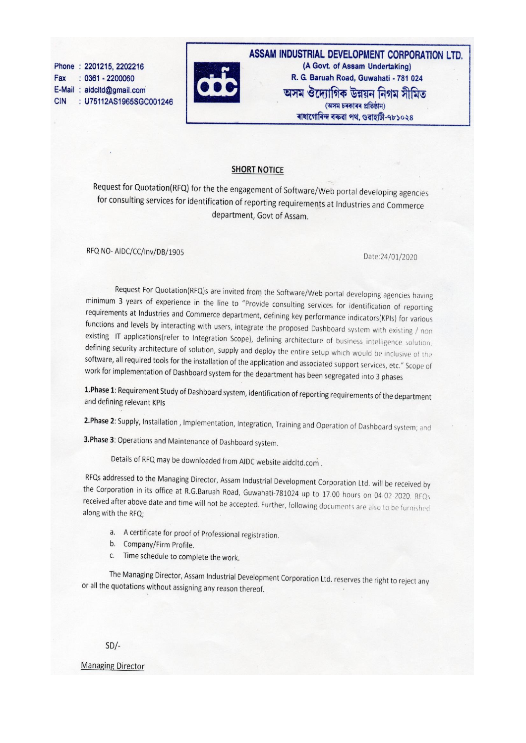Phone: 2201215, 2202216  $: 0361 - 2200060$ Fax E-Mail: aidcltd@gmail.com **CIN** : U75112AS1965SGC001246



ASSAM INDUSTRIAL DEVELOPMENT CORPORATION LTD. (A Govt. of Assam Undertaking) R. G. Baruah Road, Guwahati - 781 024 অসম ঔদ্যোগিক উন্নয়ন নিগম সীমিত (অসম চৰকাৰৰ প্ৰতিষ্ঠান) ৰাধাগোবিন্দ বৰুৱা পথ. গুৱাহাটী-৭৮১০২৪

#### **SHORT NOTICE**

Request for Quotation(RFQ) for the the engagement of Software/Web portal developing agencies for consulting services for identification of reporting requirements at Industries and Commerce department, Govt of Assam.

RFQ NO-AIDC/CC/Inv/DB/1905

Date:24/01/2020

Request For Quotation(RFQ)s are invited from the Software/Web portal developing agencies having minimum 3 years of experience in the line to "Provide consulting services for identification of reporting requirements at Industries and Commerce department, defining key performance indicators(KPIs) for various functions and levels by interacting with users, integrate the proposed Dashboard system with existing / non existing IT applications(refer to Integration Scope), defining architecture of business intelligence solution, defining security architecture of solution, supply and deploy the entire setup which would be inclusive of the software, all required tools for the installation of the application and associated support services, etc." Scope of work for implementation of Dashboard system for the department has been segregated into 3 phases

1. Phase 1: Requirement Study of Dashboard system, identification of reporting requirements of the department and defining relevant KPIs

2. Phase 2: Supply, Installation, Implementation, Integration, Training and Operation of Dashboard system; and

3. Phase 3: Operations and Maintenance of Dashboard system.

Details of RFQ may be downloaded from AIDC website aidcltd.com.

RFQs addressed to the Managing Director, Assam Industrial Development Corporation Ltd. will be received by the Corporation in its office at R.G.Baruah Road, Guwahati-781024 up to 17.00 hours on 04-02-2020. RFQs received after above date and time will not be accepted. Further, following documents are also to be furnished along with the RFQ;

- a. A certificate for proof of Professional registration.
- b. Company/Firm Profile.
- c. Time schedule to complete the work.

The Managing Director, Assam Industrial Development Corporation Ltd. reserves the right to reject any or all the quotations without assigning any reason thereof.

 $SD/-$ 

**Managing Director**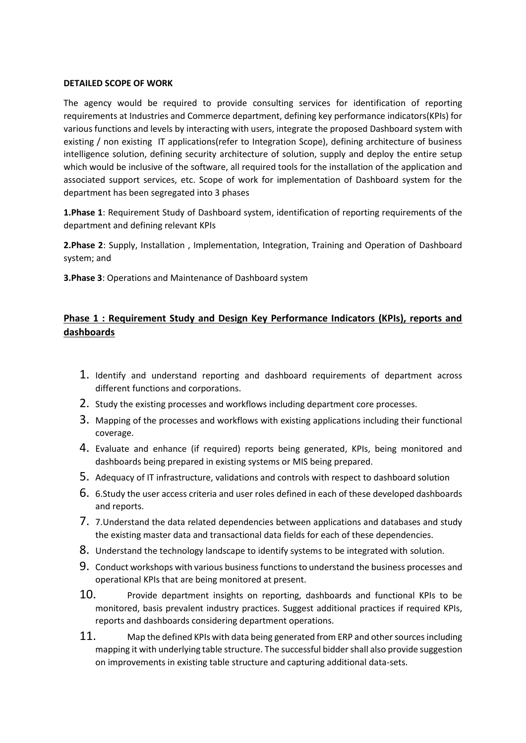#### **DETAILED SCOPE OF WORK**

The agency would be required to provide consulting services for identification of reporting requirements at Industries and Commerce department, defining key performance indicators(KPIs) for various functions and levels by interacting with users, integrate the proposed Dashboard system with existing / non existing IT applications(refer to Integration Scope), defining architecture of business intelligence solution, defining security architecture of solution, supply and deploy the entire setup which would be inclusive of the software, all required tools for the installation of the application and associated support services, etc. Scope of work for implementation of Dashboard system for the department has been segregated into 3 phases

**1.Phase 1**: Requirement Study of Dashboard system, identification of reporting requirements of the department and defining relevant KPIs

**2.Phase 2**: Supply, Installation , Implementation, Integration, Training and Operation of Dashboard system; and

**3.Phase 3**: Operations and Maintenance of Dashboard system

## **Phase 1 : Requirement Study and Design Key Performance Indicators (KPIs), reports and dashboards**

- 1. Identify and understand reporting and dashboard requirements of department across different functions and corporations.
- 2. Study the existing processes and workflows including department core processes.
- 3. Mapping of the processes and workflows with existing applications including their functional coverage.
- 4. Evaluate and enhance (if required) reports being generated, KPIs, being monitored and dashboards being prepared in existing systems or MIS being prepared.
- 5. Adequacy of IT infrastructure, validations and controls with respect to dashboard solution
- 6. 6.Study the user access criteria and user roles defined in each of these developed dashboards and reports.
- 7. 7.Understand the data related dependencies between applications and databases and study the existing master data and transactional data fields for each of these dependencies.
- 8. Understand the technology landscape to identify systems to be integrated with solution.
- 9. Conduct workshops with various business functions to understand the business processes and operational KPIs that are being monitored at present.
- 10. Provide department insights on reporting, dashboards and functional KPIs to be monitored, basis prevalent industry practices. Suggest additional practices if required KPIs, reports and dashboards considering department operations.
- 11. Map the defined KPIs with data being generated from ERP and other sources including mapping it with underlying table structure. The successful bidder shall also provide suggestion on improvements in existing table structure and capturing additional data-sets.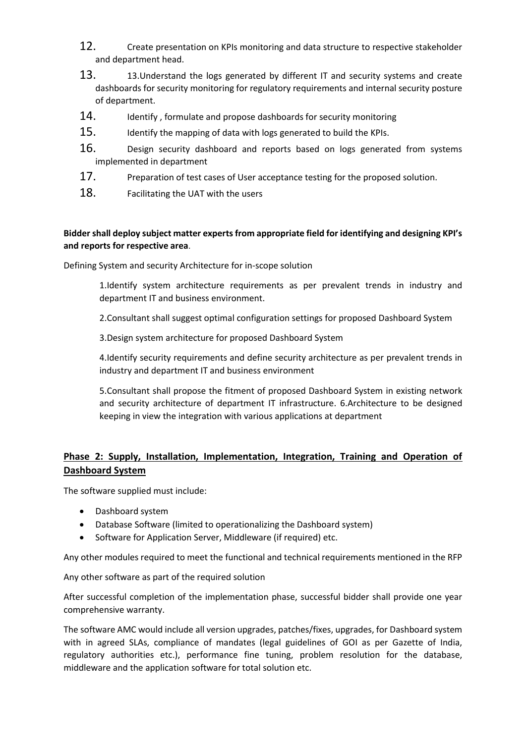- 12. Create presentation on KPIs monitoring and data structure to respective stakeholder and department head.
- 13. 13. 13. Understand the logs generated by different IT and security systems and create dashboards for security monitoring for regulatory requirements and internal security posture of department.
- 14. Identify, formulate and propose dashboards for security monitoring
- 15. Identify the mapping of data with logs generated to build the KPIs.
- 16. Design security dashboard and reports based on logs generated from systems implemented in department
- 17. Preparation of test cases of User acceptance testing for the proposed solution.
- 18. Facilitating the UAT with the users

### **Bidder shall deploy subject matter experts from appropriate field for identifying and designing KPI's and reports for respective area**.

Defining System and security Architecture for in-scope solution

1.Identify system architecture requirements as per prevalent trends in industry and department IT and business environment.

2.Consultant shall suggest optimal configuration settings for proposed Dashboard System

3.Design system architecture for proposed Dashboard System

4.Identify security requirements and define security architecture as per prevalent trends in industry and department IT and business environment

5.Consultant shall propose the fitment of proposed Dashboard System in existing network and security architecture of department IT infrastructure. 6.Architecture to be designed keeping in view the integration with various applications at department

## **Phase 2: Supply, Installation, Implementation, Integration, Training and Operation of Dashboard System**

The software supplied must include:

- Dashboard system
- Database Software (limited to operationalizing the Dashboard system)
- Software for Application Server, Middleware (if required) etc.

Any other modules required to meet the functional and technical requirements mentioned in the RFP

Any other software as part of the required solution

After successful completion of the implementation phase, successful bidder shall provide one year comprehensive warranty.

The software AMC would include all version upgrades, patches/fixes, upgrades, for Dashboard system with in agreed SLAs, compliance of mandates (legal guidelines of GOI as per Gazette of India, regulatory authorities etc.), performance fine tuning, problem resolution for the database, middleware and the application software for total solution etc.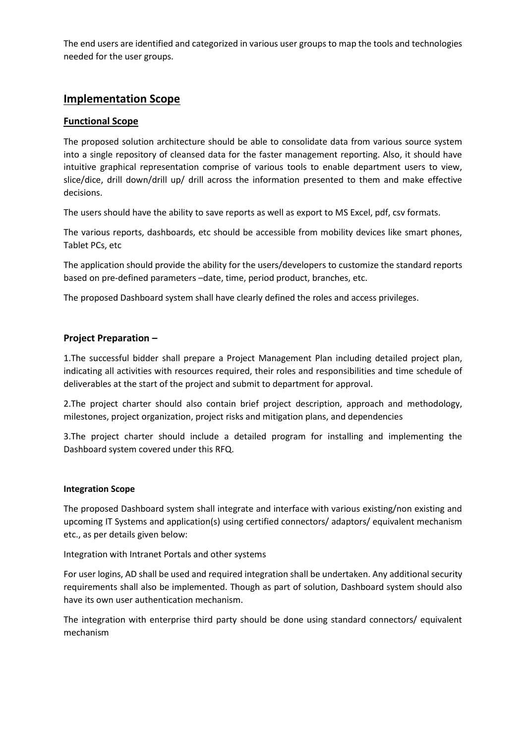The end users are identified and categorized in various user groups to map the tools and technologies needed for the user groups.

## **Implementation Scope**

### **Functional Scope**

The proposed solution architecture should be able to consolidate data from various source system into a single repository of cleansed data for the faster management reporting. Also, it should have intuitive graphical representation comprise of various tools to enable department users to view, slice/dice, drill down/drill up/ drill across the information presented to them and make effective decisions.

The users should have the ability to save reports as well as export to MS Excel, pdf, csv formats.

The various reports, dashboards, etc should be accessible from mobility devices like smart phones, Tablet PCs, etc

The application should provide the ability for the users/developers to customize the standard reports based on pre-defined parameters –date, time, period product, branches, etc.

The proposed Dashboard system shall have clearly defined the roles and access privileges.

### **Project Preparation –**

1.The successful bidder shall prepare a Project Management Plan including detailed project plan, indicating all activities with resources required, their roles and responsibilities and time schedule of deliverables at the start of the project and submit to department for approval.

2.The project charter should also contain brief project description, approach and methodology, milestones, project organization, project risks and mitigation plans, and dependencies

3.The project charter should include a detailed program for installing and implementing the Dashboard system covered under this RFQ.

#### **Integration Scope**

The proposed Dashboard system shall integrate and interface with various existing/non existing and upcoming IT Systems and application(s) using certified connectors/ adaptors/ equivalent mechanism etc., as per details given below:

Integration with Intranet Portals and other systems

For user logins, AD shall be used and required integration shall be undertaken. Any additional security requirements shall also be implemented. Though as part of solution, Dashboard system should also have its own user authentication mechanism.

The integration with enterprise third party should be done using standard connectors/ equivalent mechanism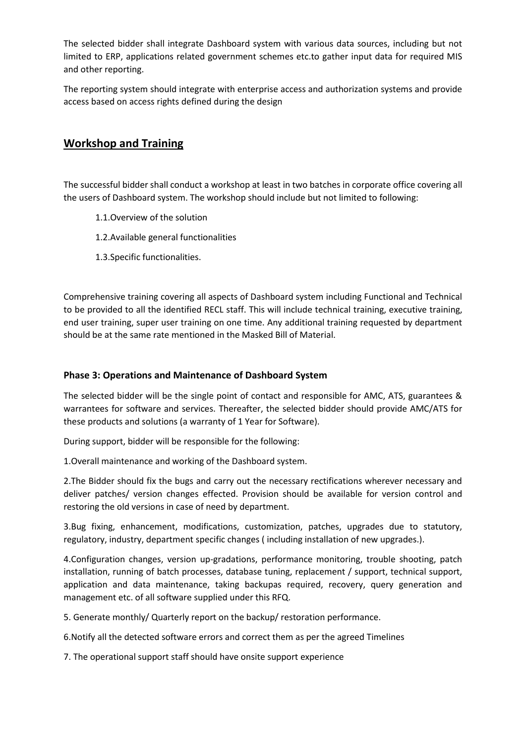The selected bidder shall integrate Dashboard system with various data sources, including but not limited to ERP, applications related government schemes etc.to gather input data for required MIS and other reporting.

The reporting system should integrate with enterprise access and authorization systems and provide access based on access rights defined during the design

# **Workshop and Training**

The successful bidder shall conduct a workshop at least in two batches in corporate office covering all the users of Dashboard system. The workshop should include but not limited to following:

- 1.1.Overview of the solution
- 1.2.Available general functionalities
- 1.3.Specific functionalities.

Comprehensive training covering all aspects of Dashboard system including Functional and Technical to be provided to all the identified RECL staff. This will include technical training, executive training, end user training, super user training on one time. Any additional training requested by department should be at the same rate mentioned in the Masked Bill of Material.

### **Phase 3: Operations and Maintenance of Dashboard System**

The selected bidder will be the single point of contact and responsible for AMC, ATS, guarantees & warrantees for software and services. Thereafter, the selected bidder should provide AMC/ATS for these products and solutions (a warranty of 1 Year for Software).

During support, bidder will be responsible for the following:

1.Overall maintenance and working of the Dashboard system.

2.The Bidder should fix the bugs and carry out the necessary rectifications wherever necessary and deliver patches/ version changes effected. Provision should be available for version control and restoring the old versions in case of need by department.

3.Bug fixing, enhancement, modifications, customization, patches, upgrades due to statutory, regulatory, industry, department specific changes ( including installation of new upgrades.).

4.Configuration changes, version up-gradations, performance monitoring, trouble shooting, patch installation, running of batch processes, database tuning, replacement / support, technical support, application and data maintenance, taking backupas required, recovery, query generation and management etc. of all software supplied under this RFQ.

5. Generate monthly/ Quarterly report on the backup/ restoration performance.

6.Notify all the detected software errors and correct them as per the agreed Timelines

7. The operational support staff should have onsite support experience